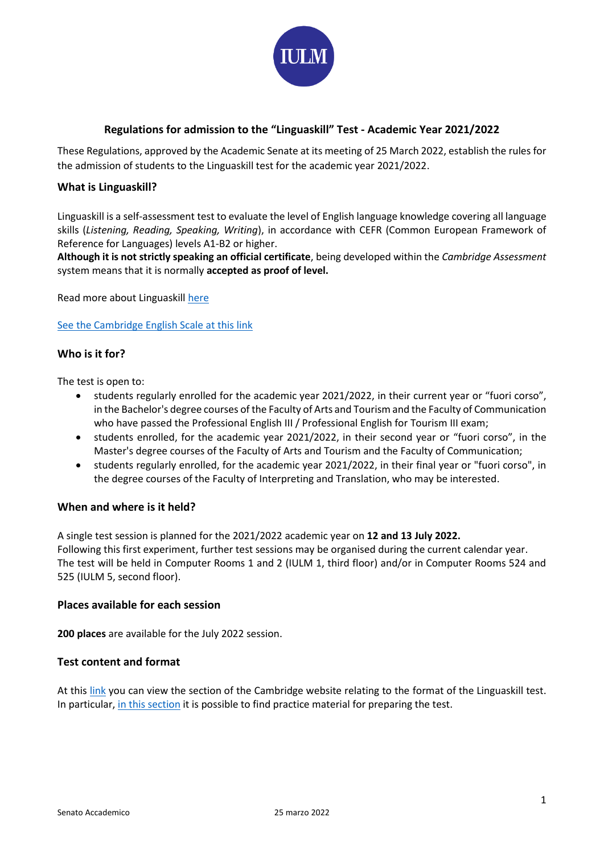

# **Regulations for admission to the "Linguaskill" Test - Academic Year 2021/2022**

These Regulations, approved by the Academic Senate at its meeting of 25 March 2022, establish the rules for the admission of students to the Linguaskill test for the academic year 2021/2022.

## **What is Linguaskill?**

Linguaskill is a self-assessment test to evaluate the level of English language knowledge covering all language skills (*Listening, Reading, Speaking, Writing*), in accordance with CEFR (Common European Framework of Reference for Languages) levels A1-B2 or higher.

**Although it is not strictly speaking an official certificate**, being developed within the *Cambridge Assessment* system means that it is normally **accepted as proof of level.**

Read more about Linguaskill [here](https://www.cambridgeenglish.org/it/exams-and-tests/linguaskill/information-about-the-test/)

[See the Cambridge English Scale at this link](https://www.cambridgeenglish.org/it/exams-and-tests/cambridge-english-scale/)

## **Who is it for?**

The test is open to:

- students regularly enrolled for the academic year 2021/2022, in their current year or "fuori corso", in the Bachelor's degree courses of the Faculty of Arts and Tourism and the Faculty of Communication who have passed the Professional English III / Professional English for Tourism III exam;
- students enrolled, for the academic year 2021/2022, in their second year or "fuori corso", in the Master's degree courses of the Faculty of Arts and Tourism and the Faculty of Communication;
- students regularly enrolled, for the academic year 2021/2022, in their final year or "fuori corso", in the degree courses of the Faculty of Interpreting and Translation, who may be interested.

### **When and where is it held?**

A single test session is planned for the 2021/2022 academic year on **12 and 13 July 2022.** Following this first experiment, further test sessions may be organised during the current calendar year. The test will be held in Computer Rooms 1 and 2 (IULM 1, third floor) and/or in Computer Rooms 524 and 525 (IULM 5, second floor).

## **Places available for each session**

**200 places** are available for the July 2022 session.

## **Test content and format**

At this [link](https://www.cambridgeenglish.org/it/exams-and-tests/linguaskill/information-about-the-test/test-formats-and-task-types/) you can view the section of the Cambridge website relating to the format of the Linguaskill test. In particular, in this [section](https://www.cambridgeenglish.org/exams-and-tests/linguaskill/information-about-the-test/practice-materials/) it is possible to find practice material for preparing the test.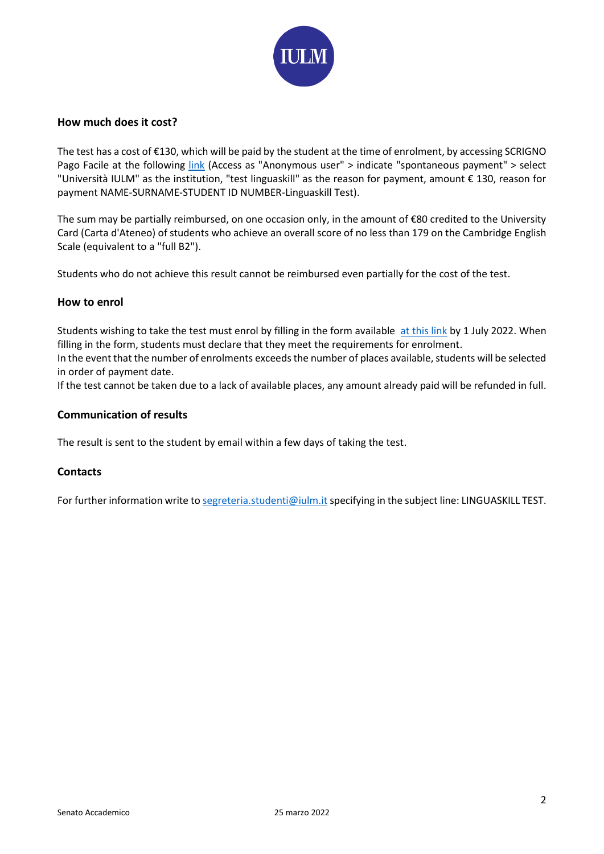

## **How much does it cost?**

The test has a cost of €130, which will be paid by the student at the time of enrolment, by accessing SCRIGNO Pago Facile at the following [link](https://pagofacile.popso.it/) (Access as "Anonymous user" > indicate "spontaneous payment" > select "Università IULM" as the institution, "test linguaskill" as the reason for payment, amount € 130, reason for payment NAME-SURNAME-STUDENT ID NUMBER-Linguaskill Test).

The sum may be partially reimbursed, on one occasion only, in the amount of €80 credited to the University Card (Carta d'Ateneo) of students who achieve an overall score of no less than 179 on the Cambridge English Scale (equivalent to a "full B2").

Students who do not achieve this result cannot be reimbursed even partially for the cost of the test.

## **How to enrol**

Students wishing to take the test must enrol by filling in the form available [at this](https://docs.google.com/forms/d/e/1FAIpQLSd--TNbXgj2StSaHgYBk-yBKrRkJ9XhtJkKJ3TfFb6gRrwg4Q/viewform?usp=sf_link) link by 1 July 2022. When filling in the form, students must declare that they meet the requirements for enrolment.

In the event that the number of enrolments exceeds the number of places available, students will be selected in order of payment date.

If the test cannot be taken due to a lack of available places, any amount already paid will be refunded in full.

## **Communication of results**

The result is sent to the student by email within a few days of taking the test.

### **Contacts**

For further information write t[o segreteria.studenti@iulm.it](mailto:segreteria.studenti@iulm.it) specifying in the subject line: LINGUASKILL TEST.